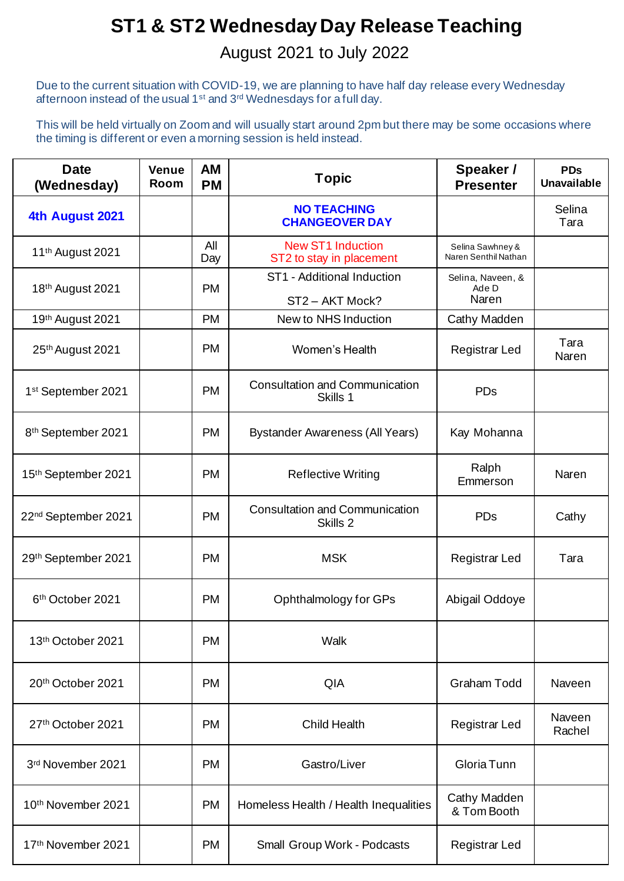## **ST1 & ST2 Wednesday Day Release Teaching**

## August 2021 to July 2022

Due to the current situation with COVID-19, we are planning to have half day release every Wednesday afternoon instead of the usual 1st and 3rd Wednesdays for a full day.

This will be held virtually on Zoom and will usually start around 2pm but there may be some occasions where the timing is different or even a morning session is held instead.

| <b>Date</b><br>(Wednesday)      | <b>Venue</b><br>Room | AM<br><b>PM</b> | <b>Topic</b>                                         | Speaker /<br><b>Presenter</b>            | <b>PDs</b><br><b>Unavailable</b> |
|---------------------------------|----------------------|-----------------|------------------------------------------------------|------------------------------------------|----------------------------------|
| 4th August 2021                 |                      |                 | <b>NO TEACHING</b><br><b>CHANGEOVER DAY</b>          |                                          | Selina<br>Tara                   |
| 11 <sup>th</sup> August 2021    |                      | All<br>Day      | <b>New ST1 Induction</b><br>ST2 to stay in placement | Selina Sawhney &<br>Naren Senthil Nathan |                                  |
| 18th August 2021                |                      | <b>PM</b>       | ST1 - Additional Induction<br>ST2-AKT Mock?          | Selina, Naveen, &<br>Ade D<br>Naren      |                                  |
| 19th August 2021                |                      | <b>PM</b>       | New to NHS Induction                                 | Cathy Madden                             |                                  |
| 25th August 2021                |                      | <b>PM</b>       | Women's Health                                       | <b>Registrar Led</b>                     | Tara<br>Naren                    |
| 1 <sup>st</sup> September 2021  |                      | <b>PM</b>       | <b>Consultation and Communication</b><br>Skills 1    | <b>PDs</b>                               |                                  |
| 8 <sup>th</sup> September 2021  |                      | <b>PM</b>       | <b>Bystander Awareness (All Years)</b>               | Kay Mohanna                              |                                  |
| 15th September 2021             |                      | <b>PM</b>       | <b>Reflective Writing</b>                            | Ralph<br>Emmerson                        | Naren                            |
| 22 <sup>nd</sup> September 2021 |                      | <b>PM</b>       | <b>Consultation and Communication</b><br>Skills 2    | PDs                                      | Cathy                            |
| 29th September 2021             |                      | <b>PM</b>       | <b>MSK</b>                                           | <b>Registrar Led</b>                     | Tara                             |
| 6 <sup>th</sup> October 2021    |                      | <b>PM</b>       | Ophthalmology for GPs                                | Abigail Oddoye                           |                                  |
| 13th October 2021               |                      | <b>PM</b>       | Walk                                                 |                                          |                                  |
| 20th October 2021               |                      | <b>PM</b>       | QIA                                                  | <b>Graham Todd</b>                       | Naveen                           |
| 27th October 2021               |                      | <b>PM</b>       | <b>Child Health</b>                                  | <b>Registrar Led</b>                     | Naveen<br>Rachel                 |
| 3rd November 2021               |                      | <b>PM</b>       | Gastro/Liver                                         | Gloria Tunn                              |                                  |
| 10th November 2021              |                      | <b>PM</b>       | Homeless Health / Health Inequalities                | Cathy Madden<br>& Tom Booth              |                                  |
| 17th November 2021              |                      | <b>PM</b>       | Small Group Work - Podcasts                          | <b>Registrar Led</b>                     |                                  |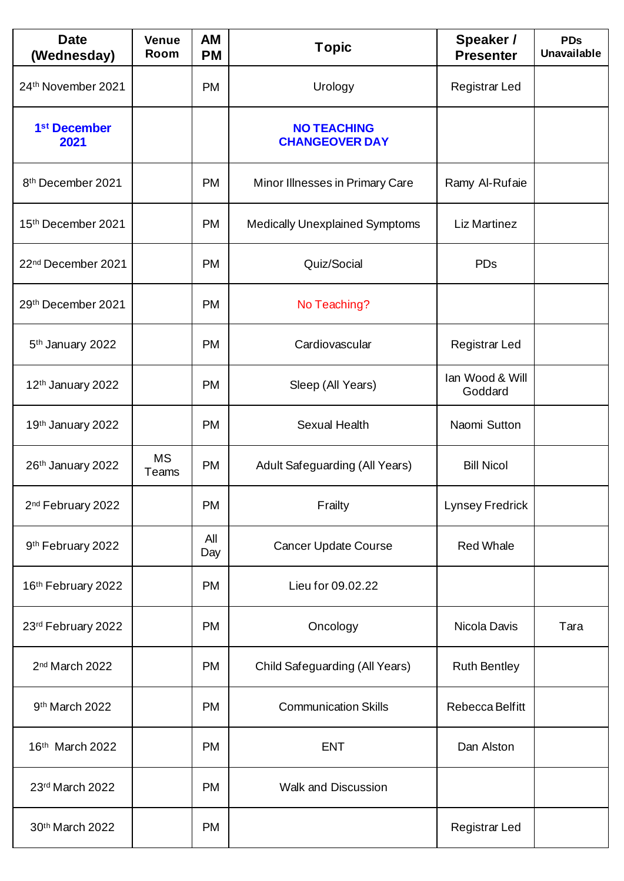| <b>Date</b><br>(Wednesday)       | <b>Venue</b><br>Room | <b>AM</b><br><b>PM</b> | <b>Topic</b>                                | Speaker /<br><b>Presenter</b> | <b>PDs</b><br><b>Unavailable</b> |
|----------------------------------|----------------------|------------------------|---------------------------------------------|-------------------------------|----------------------------------|
| 24th November 2021               |                      | <b>PM</b>              | Urology                                     | Registrar Led                 |                                  |
| 1 <sup>st</sup> December<br>2021 |                      |                        | <b>NO TEACHING</b><br><b>CHANGEOVER DAY</b> |                               |                                  |
| 8th December 2021                |                      | <b>PM</b>              | Minor Illnesses in Primary Care             | Ramy Al-Rufaie                |                                  |
| 15th December 2021               |                      | <b>PM</b>              | <b>Medically Unexplained Symptoms</b>       | Liz Martinez                  |                                  |
| 22 <sup>nd</sup> December 2021   |                      | <b>PM</b>              | Quiz/Social                                 | <b>PDs</b>                    |                                  |
| 29th December 2021               |                      | <b>PM</b>              | No Teaching?                                |                               |                                  |
| 5 <sup>th</sup> January 2022     |                      | <b>PM</b>              | Cardiovascular                              | <b>Registrar Led</b>          |                                  |
| 12 <sup>th</sup> January 2022    |                      | <b>PM</b>              | Sleep (All Years)                           | Ian Wood & Will<br>Goddard    |                                  |
| 19th January 2022                |                      | <b>PM</b>              | <b>Sexual Health</b>                        | Naomi Sutton                  |                                  |
| 26th January 2022                | <b>MS</b><br>Teams   | <b>PM</b>              | Adult Safeguarding (All Years)              | <b>Bill Nicol</b>             |                                  |
| 2 <sup>nd</sup> February 2022    |                      | <b>PM</b>              | Frailty                                     | <b>Lynsey Fredrick</b>        |                                  |
| 9th February 2022                |                      | All<br>Day             | <b>Cancer Update Course</b>                 | <b>Red Whale</b>              |                                  |
| 16th February 2022               |                      | <b>PM</b>              | Lieu for 09.02.22                           |                               |                                  |
| 23rd February 2022               |                      | <b>PM</b>              | Oncology                                    | Nicola Davis                  | Tara                             |
| 2 <sup>nd</sup> March 2022       |                      | <b>PM</b>              | Child Safeguarding (All Years)              | <b>Ruth Bentley</b>           |                                  |
| 9th March 2022                   |                      | <b>PM</b>              | <b>Communication Skills</b>                 | Rebecca Belfitt               |                                  |
| 16th March 2022                  |                      | <b>PM</b>              | <b>ENT</b>                                  | Dan Alston                    |                                  |
| 23rd March 2022                  |                      | <b>PM</b>              | <b>Walk and Discussion</b>                  |                               |                                  |
| 30th March 2022                  |                      | <b>PM</b>              |                                             | <b>Registrar Led</b>          |                                  |